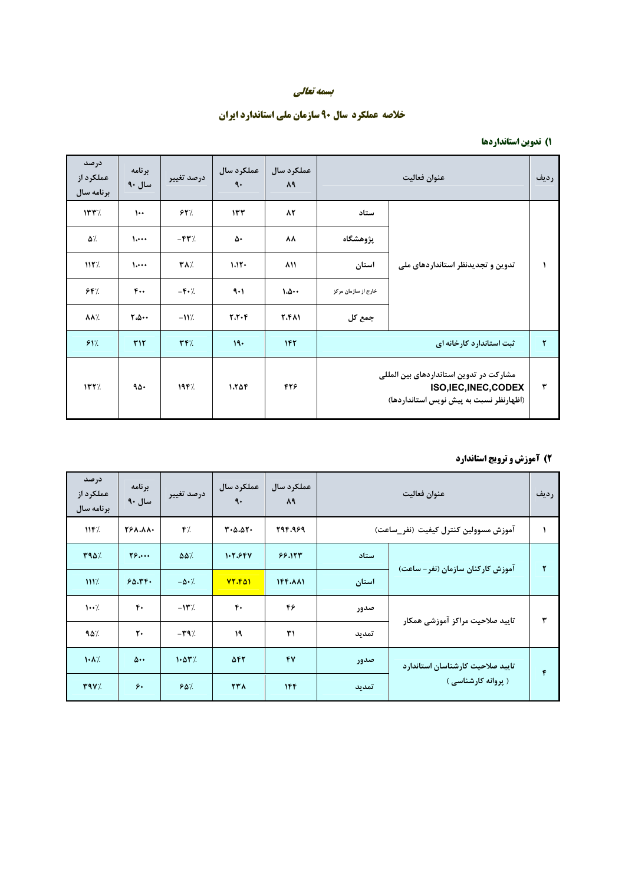#### بسمه تعالى

# خلاصه عملکرد سال ۹۰ سازمان ملی استاندارد ایران

#### ۱) تدوین استانداردها

| درصد<br>عملكرد از<br>برنامه سال | برنامه<br>سال ۹۰       | درصد تغيير                     | عملكرد سال<br>$\ddot{\mathsf{a}}$ . | عملكرد سال<br>۸۹ | عنوان فعاليت                                                                                                |                                   | رديف |
|---------------------------------|------------------------|--------------------------------|-------------------------------------|------------------|-------------------------------------------------------------------------------------------------------------|-----------------------------------|------|
| 157/                            | $\mathbf{L}$           | 54%                            | 157                                 | 82               | ستاد                                                                                                        |                                   |      |
| ۵٪                              | $\mathcal{L}$          | $-FY$ /                        | ۵۰                                  | ᄾᄾ               | يژوهشگاه                                                                                                    |                                   |      |
| 117%                            | $\mathcal{L}$          | <b>TA</b> %                    | $1.11 -$                            | ۸۱۱              | استان                                                                                                       | تدوین و تجدیدنظر استانداردهای ملی |      |
| 54%                             | $F_{++}$               | $-\mathbf{F} \cdot \mathbf{A}$ | ۹۰۱                                 | 1.0              | خارج از سازمان مرکز                                                                                         |                                   |      |
| <b>AA/.</b>                     | $Y \Delta \cdot \cdot$ | $-11$ .                        | $Y,Y\cdot Y$                        | <b>7.611</b>     | جمع کل                                                                                                      |                                   |      |
| 91'.                            | <b>TIT</b>             | YY'                            | 19.                                 | 142              | ثبت استاندارد کارخانه ای                                                                                    |                                   | ۲    |
| 157/                            | ۹۵۰                    | $19F$ %                        | $1.7\Delta F$                       | 428              | مشارکت در تدوین استانداردهای بین المللی<br>ISO, IEC, INEC, CODEX<br>(اظهارنظر نسبت به پیش نویس استانداردها) |                                   |      |

## ۲) آموزش و ترویج استاندارد

| درصد<br>عملکرد از<br>برنامه سال | برنامه<br>سال ۹۰  | درصد تغيير                  | عملکرد سال<br>٩.              | عملکر د سال<br>۸۹ | عنوان فعاليت                         |                                   |              |
|---------------------------------|-------------------|-----------------------------|-------------------------------|-------------------|--------------------------------------|-----------------------------------|--------------|
| 117.                            | <b>TSA.AA.</b>    | $\mathbf{r}$ .              | $T - \Delta \cdot \Delta T -$ | 294.969           | آموزش مسوولين كنترل كيفيت (نفر_ساعت) |                                   |              |
| <b>TAD%</b>                     | $Y_{\mathcal{F}}$ | $\Delta\Delta$ %            | 1.7.984                       | 99.157            | ستاد                                 |                                   | ۲            |
| 1117.                           | 60.79.            | $-\Delta \cdot \frac{1}{2}$ | 77.801                        | 144.811           | استان                                | آموزش کارکنان سازمان (نفر – ساعت) |              |
| $\cdots$                        | $F -$             | $-11.7$                     | $\mathbf{r}$ .                | ۴۶                | صدور                                 | تاييد صلاحيت مراكز آموزشى همكار   | ۳            |
| 90/                             | ٢٠                | $-\mathbf{Y}$ 9%            | ١٩                            | ۳۱                | تمديد                                |                                   |              |
| $\mathcal{N}$                   | $\Delta$          | $1.87$ %                    | 542                           | 47                | صدور                                 | تاييد صلاحيت كارشناسان استاندارد  | $\mathbf{r}$ |
| Y4V                             | ۶٠                | 80 <sub>1</sub>             | <b>TTA</b>                    | ۱۴۴               | تمديد                                | ( پروانه کارشناسی )               |              |

**F**